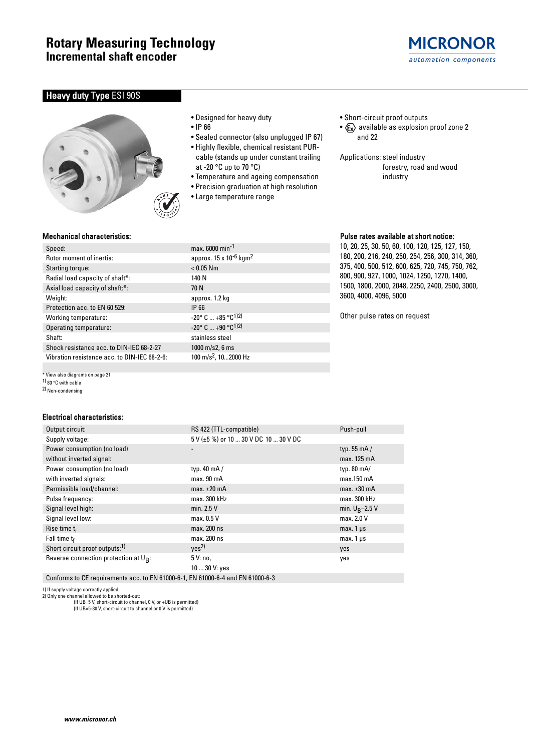

# **Heavy duty Type ESI 90S**



- Designed for heavy duty
- IP 66
- Sealed connector (also unplugged IP 67)
- Highly flexible, chemical resistant PURcable (stands up under constant trailing at -20 °C up to 70 °C)
- Temperature and ageing compensation
- Precision graduation at high resolution
- Large temperature range
- Short-circuit proof outputs
- $\langle \mathbf{F_x} \rangle$  available as explosion proof zone 2 and 22
- Applications: steel industry forestry, road and wood industry

## Mechanical characteristics:

| Speed:                                       | max. 6000 min <sup>-1</sup>                     |
|----------------------------------------------|-------------------------------------------------|
| Rotor moment of inertia:                     | approx. 15 x 10 <sup>-6</sup> kgm               |
| Starting torque:                             | $< 0.05$ Nm                                     |
| Radial load capacity of shaft*:              | 140 N                                           |
| Axial load capacity of shaft:*:              | 70 N                                            |
| Weight:                                      | approx. 1.2 kg                                  |
| Protection acc. to EN 60 529:                | IP 66                                           |
| Working temperature:                         | $-20^{\circ}$ C $+85^{\circ}$ C <sup>1)2)</sup> |
| Operating temperature:                       | $-20^{\circ}$ C $+90^{\circ}$ C <sup>1)2)</sup> |
| Shaft:                                       | stainless steel                                 |
| Shock resistance acc. to DIN-IEC 68-2-27     | $1000 \text{ m/s2}$ , 6 ms                      |
| Vibration resistance acc. to DIN-IEC 68-2-6: | 100 m/s <sup>2</sup> , 102000 Hz                |

\* View also diagrams on page 21

1) 80 °C with cable

2) Non-condensing

## Electrical characteristics:

| Output circuit:                            | RS 422 (TTL-compatible)                                      | Push-pull            |
|--------------------------------------------|--------------------------------------------------------------|----------------------|
| Supply voltage:                            | 5 V (±5 %) or 10  30 V DC 10  30 V DC                        |                      |
| Power consumption (no load)                |                                                              | typ. $55 \text{ mA}$ |
| without inverted signal:                   |                                                              | max. 125 mA          |
| Power consumption (no load)                | typ. $40 \text{ mA}$ /                                       | typ. $80 \text{ mA}$ |
| with inverted signals:                     | max. 90 mA                                                   | $max.150$ mA         |
| Permissible load/channel:                  | max. $\pm 20$ mA                                             | max. $\pm 30$ mA     |
| Pulse frequency:                           | max. 300 kHz                                                 | max. 300 kHz         |
| Signal level high:                         | min. $2.5V$                                                  | min. $U_R - 2.5$ V   |
| Signal level low:                          | max. 0.5 V                                                   | max. 2.0 V           |
| Rise time $t_r$                            | max. 200 ns                                                  | max. $1 \mu s$       |
| Fall time $t_f$                            | max. 200 ns                                                  | $max.1 \,\mu s$      |
| Short circuit proof outputs: <sup>1)</sup> | Yes <sup>2</sup>                                             | yes                  |
| Reverse connection protection at UR:       | 5 V: no,                                                     | yes                  |
|                                            | 10  30 V: yes                                                |                      |
| $\cdot$ FM 04000 0.4 FM 04000 0.4          | $I$ $\Gamma$ $I$ $A$ $A$ $A$ $A$ $A$ $A$ $A$ $A$ $A$ $A$ $A$ |                      |

Conforms to CE requirements acc. to EN 61000-6-1, EN 61000-6-4 and EN 61000-6-3

1) If supply voltage correctly applied 2) Only one channel allowed to be shorted-out:

(If UB=5 V, short-circuit to channel, 0 V, or +UB is permitted) (If UB=5-30 V, short-circuit to channel or 0 V is permitted)

 $max. 6000 min<sup>-1</sup>$ approx.  $15 \times 10^{-6}$  kgm<sup>2</sup>  $< 0.05$  Nm approx. 1.2 kg  $-20$ ° C ...  $+85$  °C<sup>1)2)</sup>  $-20^{\circ}$  C  $...$   $+90^{\circ}$ C<sup>1)2)</sup> stainless steel  $1000$  m/s2, 6 ms

## Pulse rates available at short notice:

10, 20, 25, 30, 50, 60, 100, 120, 125, 127, 150, 180, 200, 216, 240, 250, 254, 256, 300, 314, 360, 375, 400, 500, 512, 600, 625, 720, 745, 750, 762, 800, 900, 927, 1000, 1024, 1250, 1270, 1400, 1500, 1800, 2000, 2048, 2250, 2400, 2500, 3000, 3600, 4000, 4096, 5000

Other pulse rates on request